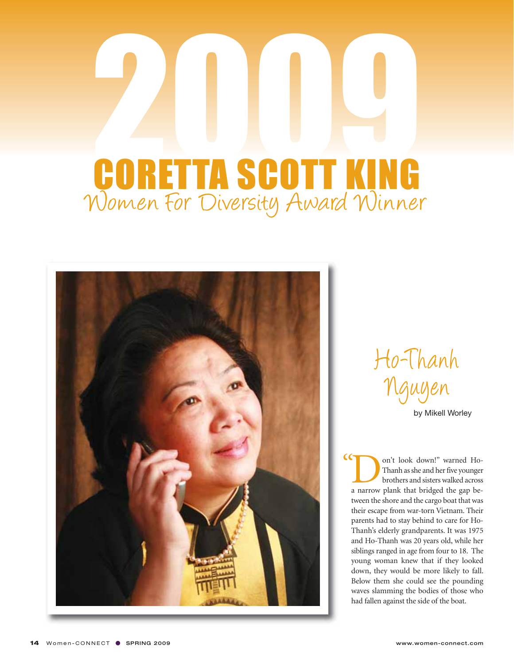## 2009 Women For Diversity Award Winner CORETTA SCOTT KING



Ho-Thanh Nguyen

by Mikell Worley

I on't look down!" warned Ho-<br>Thanh as she and her five younger<br>brothers and sisters walked across<br>a narrow plank that bridged the gap be-Thanh as she and her five younger brothers and sisters walked across tween the shore and the cargo boat that was their escape from war-torn Vietnam. Their parents had to stay behind to care for Ho-Thanh's elderly grandparents. It was 1975 and Ho-Thanh was 20 years old, while her siblings ranged in age from four to 18. The young woman knew that if they looked down, they would be more likely to fall. Below them she could see the pounding waves slamming the bodies of those who had fallen against the side of the boat.  $\alpha$